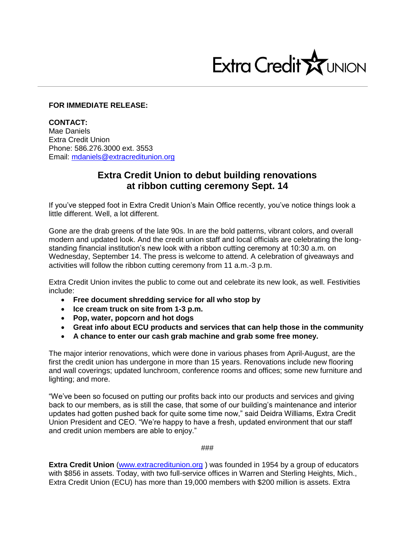

## **FOR IMMEDIATE RELEASE:**

**CONTACT:** Mae Daniels Extra Credit Union Phone: 586.276.3000 ext. 3553 Email: [mdaniels@extracreditunion.org](mailto:mdaniels@extracreditunion.org)

## **Extra Credit Union to debut building renovations at ribbon cutting ceremony Sept. 14**

If you've stepped foot in Extra Credit Union's Main Office recently, you've notice things look a little different. Well, a lot different.

Gone are the drab greens of the late 90s. In are the bold patterns, vibrant colors, and overall modern and updated look. And the credit union staff and local officials are celebrating the longstanding financial institution's new look with a ribbon cutting ceremony at 10:30 a.m. on Wednesday, September 14. The press is welcome to attend. A celebration of giveaways and activities will follow the ribbon cutting ceremony from 11 a.m.-3 p.m.

Extra Credit Union invites the public to come out and celebrate its new look, as well. Festivities include:

- **Free document shredding service for all who stop by**
- **Ice cream truck on site from 1-3 p.m.**
- **Pop, water, popcorn and hot dogs**
- **Great info about ECU products and services that can help those in the community**
- **A chance to enter our cash grab machine and grab some free money.**

The major interior renovations, which were done in various phases from April-August, are the first the credit union has undergone in more than 15 years. Renovations include new flooring and wall coverings; updated lunchroom, conference rooms and offices; some new furniture and lighting; and more.

"We've been so focused on putting our profits back into our products and services and giving back to our members, as is still the case, that some of our building's maintenance and interior updates had gotten pushed back for quite some time now," said Deidra Williams, Extra Credit Union President and CEO. "We're happy to have a fresh, updated environment that our staff and credit union members are able to enjoy."

###

**Extra Credit Union** [\(www.extracreditunion.org](http://www.extracreditunion.org/) ) was founded in 1954 by a group of educators with \$856 in assets. Today, with two full-service offices in Warren and Sterling Heights, Mich., Extra Credit Union (ECU) has more than 19,000 members with \$200 million is assets. Extra